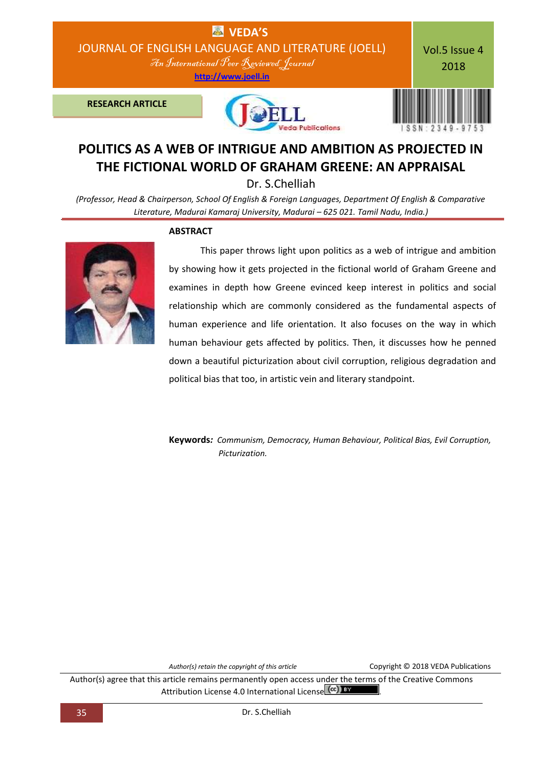

## **POLITICS AS A WEB OF INTRIGUE AND AMBITION AS PROJECTED IN THE FICTIONAL WORLD OF GRAHAM GREENE: AN APPRAISAL**

Dr. S.Chelliah

*(Professor, Head & Chairperson, School Of English & Foreign Languages, Department Of English & Comparative Literature, Madurai Kamaraj University, Madurai – 625 021. Tamil Nadu, India.)*





This paper throws light upon politics as a web of intrigue and ambition by showing how it gets projected in the fictional world of Graham Greene and examines in depth how Greene evinced keep interest in politics and social relationship which are commonly considered as the fundamental aspects of human experience and life orientation. It also focuses on the way in which human behaviour gets affected by politics. Then, it discusses how he penned down a beautiful picturization about civil corruption, religious degradation and political bias that too, in artistic vein and literary standpoint.

**Keywords***: Communism, Democracy, Human Behaviour, Political Bias, Evil Corruption, Picturization.*

*Author(s) retain the copyright of this article* Copyright © 2018 VEDA Publications

Author(s) agree that this article remains permanently open access under the terms of the Creative Commons Attribution License 4.0 International License (cc) BY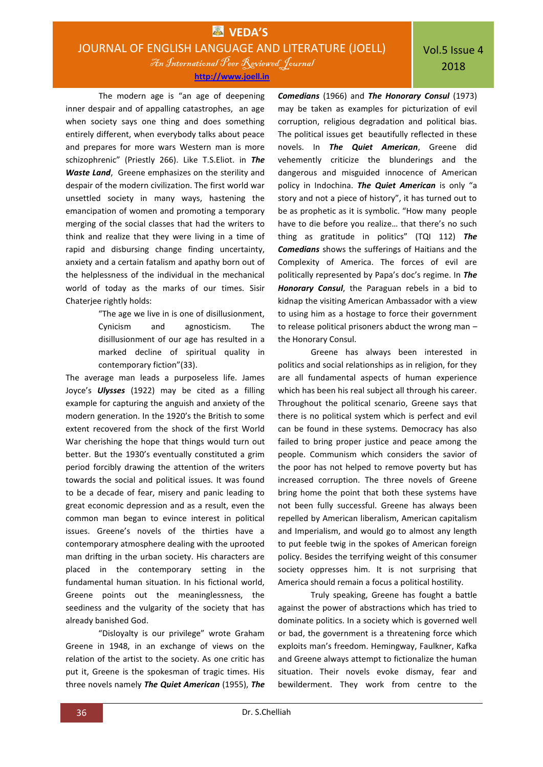An International Peer Reviewed Journal **[http://www.joell.in](http://www.joell.in/)**

 The modern age is "an age of deepening inner despair and of appalling catastrophes, an age when society says one thing and does something entirely different, when everybody talks about peace and prepares for more wars Western man is more schizophrenic" (Priestly 266). Like T.S.Eliot. in *The Waste Land*, Greene emphasizes on the sterility and despair of the modern civilization. The first world war unsettled society in many ways, hastening the emancipation of women and promoting a temporary merging of the social classes that had the writers to think and realize that they were living in a time of rapid and disbursing change finding uncertainty, anxiety and a certain fatalism and apathy born out of the helplessness of the individual in the mechanical world of today as the marks of our times. Sisir Chaterjee rightly holds:

> "The age we live in is one of disillusionment, Cynicism and agnosticism. The disillusionment of our age has resulted in a marked decline of spiritual quality in contemporary fiction"(33).

The average man leads a purposeless life. James Joyce's *Ulysses* (1922) may be cited as a filling example for capturing the anguish and anxiety of the modern generation. In the 1920's the British to some extent recovered from the shock of the first World War cherishing the hope that things would turn out better. But the 1930's eventually constituted a grim period forcibly drawing the attention of the writers towards the social and political issues. It was found to be a decade of fear, misery and panic leading to great economic depression and as a result, even the common man began to evince interest in political issues. Greene's novels of the thirties have a contemporary atmosphere dealing with the uprooted man drifting in the urban society. His characters are placed in the contemporary setting in the fundamental human situation. In his fictional world, Greene points out the meaninglessness, the seediness and the vulgarity of the society that has already banished God.

"Disloyalty is our privilege" wrote Graham Greene in 1948, in an exchange of views on the relation of the artist to the society. As one critic has put it, Greene is the spokesman of tragic times. His three novels namely *The Quiet American* (1955), *The*  *Comedians* (1966) and *The Honorary Consul* (1973) may be taken as examples for picturization of evil corruption, religious degradation and political bias. The political issues get beautifully reflected in these novels. In *The Quiet American*, Greene did vehemently criticize the blunderings and the dangerous and misguided innocence of American policy in Indochina. *The Quiet American* is only "a story and not a piece of history", it has turned out to be as prophetic as it is symbolic. "How many people have to die before you realize… that there's no such thing as gratitude in politics" (TQI 112) *The Comedians* shows the sufferings of Haitians and the Complexity of America. The forces of evil are politically represented by Papa's doc's regime. In *The Honorary Consul*, the Paraguan rebels in a bid to kidnap the visiting American Ambassador with a view to using him as a hostage to force their government to release political prisoners abduct the wrong man – the Honorary Consul.

Greene has always been interested in politics and social relationships as in religion, for they are all fundamental aspects of human experience which has been his real subject all through his career. Throughout the political scenario, Greene says that there is no political system which is perfect and evil can be found in these systems. Democracy has also failed to bring proper justice and peace among the people. Communism which considers the savior of the poor has not helped to remove poverty but has increased corruption. The three novels of Greene bring home the point that both these systems have not been fully successful. Greene has always been repelled by American liberalism, American capitalism and Imperialism, and would go to almost any length to put feeble twig in the spokes of American foreign policy. Besides the terrifying weight of this consumer society oppresses him. It is not surprising that America should remain a focus a political hostility.

Truly speaking, Greene has fought a battle against the power of abstractions which has tried to dominate politics. In a society which is governed well or bad, the government is a threatening force which exploits man's freedom. Hemingway, Faulkner, Kafka and Greene always attempt to fictionalize the human situation. Their novels evoke dismay, fear and bewilderment. They work from centre to the